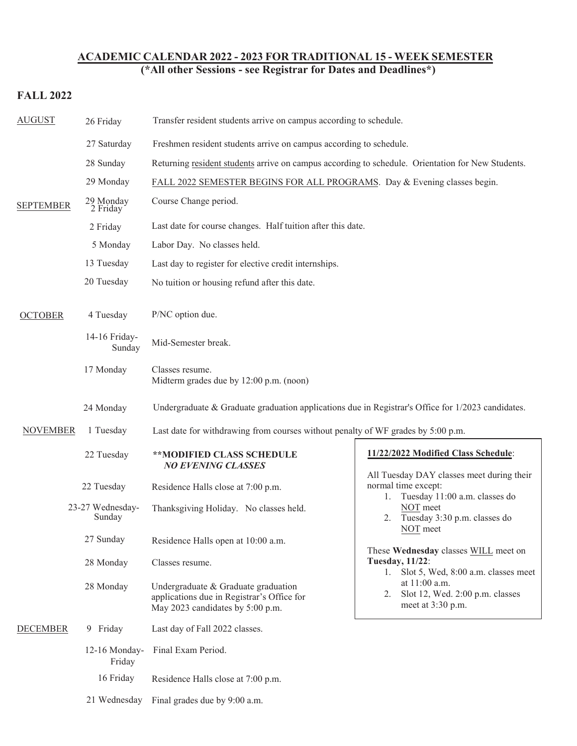## **ACADEMIC CALENDAR 2022 - 2023 FOR TRADITIONAL 15 - WEEK SEMESTER**

**(\*All other Sessions - see Registrar for Dates and Deadlines\*)**

## **FALL 2022**

| <b>AUGUST</b>    | 26 Friday                  | Transfer resident students arrive on campus according to schedule.                                                                                                                      |                                                                                                                                                                                                                                                                                                                                                                     |  |
|------------------|----------------------------|-----------------------------------------------------------------------------------------------------------------------------------------------------------------------------------------|---------------------------------------------------------------------------------------------------------------------------------------------------------------------------------------------------------------------------------------------------------------------------------------------------------------------------------------------------------------------|--|
| <b>SEPTEMBER</b> | 27 Saturday                | Freshmen resident students arrive on campus according to schedule.                                                                                                                      |                                                                                                                                                                                                                                                                                                                                                                     |  |
|                  | 28 Sunday                  | Returning resident students arrive on campus according to schedule. Orientation for New Students.                                                                                       |                                                                                                                                                                                                                                                                                                                                                                     |  |
|                  | 29 Monday                  | FALL 2022 SEMESTER BEGINS FOR ALL PROGRAMS. Day & Evening classes begin.                                                                                                                |                                                                                                                                                                                                                                                                                                                                                                     |  |
|                  | 29 Monday<br>2 Friday      | Course Change period.                                                                                                                                                                   |                                                                                                                                                                                                                                                                                                                                                                     |  |
|                  | 2 Friday                   | Last date for course changes. Half tuition after this date.                                                                                                                             |                                                                                                                                                                                                                                                                                                                                                                     |  |
|                  | 5 Monday                   | Labor Day. No classes held.                                                                                                                                                             |                                                                                                                                                                                                                                                                                                                                                                     |  |
|                  | 13 Tuesday                 | Last day to register for elective credit internships.                                                                                                                                   |                                                                                                                                                                                                                                                                                                                                                                     |  |
|                  | 20 Tuesday                 | No tuition or housing refund after this date.                                                                                                                                           |                                                                                                                                                                                                                                                                                                                                                                     |  |
| <b>OCTOBER</b>   | 4 Tuesday                  | P/NC option due.                                                                                                                                                                        |                                                                                                                                                                                                                                                                                                                                                                     |  |
|                  | 14-16 Friday-<br>Sunday    | Mid-Semester break.                                                                                                                                                                     |                                                                                                                                                                                                                                                                                                                                                                     |  |
|                  | 17 Monday                  | Classes resume.<br>Midterm grades due by 12:00 p.m. (noon)                                                                                                                              |                                                                                                                                                                                                                                                                                                                                                                     |  |
|                  | 24 Monday                  | Undergraduate & Graduate graduation applications due in Registrar's Office for $1/2023$ candidates.<br>Last date for withdrawing from courses without penalty of WF grades by 5:00 p.m. |                                                                                                                                                                                                                                                                                                                                                                     |  |
| <b>NOVEMBER</b>  | 1 Tuesday                  |                                                                                                                                                                                         |                                                                                                                                                                                                                                                                                                                                                                     |  |
|                  | 22 Tuesday                 | **MODIFIED CLASS SCHEDULE<br><b>NO EVENING CLASSES</b>                                                                                                                                  | 11/22/2022 Modified Class Schedule:                                                                                                                                                                                                                                                                                                                                 |  |
|                  | 22 Tuesday                 | Residence Halls close at 7:00 p.m.                                                                                                                                                      | All Tuesday DAY classes meet during their<br>normal time except:<br>Tuesday 11:00 a.m. classes do<br>1.<br>NOT meet<br>Tuesday 3:30 p.m. classes do<br>2.<br>NOT meet<br>These Wednesday classes WILL meet on<br><b>Tuesday, 11/22:</b><br>Slot 5, Wed, 8:00 a.m. classes meet<br>1.<br>at 11:00 a.m.<br>Slot 12, Wed. 2:00 p.m. classes<br>2.<br>meet at 3:30 p.m. |  |
|                  | 23-27 Wednesday-<br>Sunday | Thanksgiving Holiday. No classes held.                                                                                                                                                  |                                                                                                                                                                                                                                                                                                                                                                     |  |
|                  | 27 Sunday                  | Residence Halls open at 10:00 a.m.                                                                                                                                                      |                                                                                                                                                                                                                                                                                                                                                                     |  |
|                  | 28 Monday                  | Classes resume.                                                                                                                                                                         |                                                                                                                                                                                                                                                                                                                                                                     |  |
|                  | 28 Monday                  | Undergraduate & Graduate graduation<br>applications due in Registrar's Office for<br>May 2023 candidates by 5:00 p.m.                                                                   |                                                                                                                                                                                                                                                                                                                                                                     |  |
| <b>DECEMBER</b>  | 9 Friday                   | Last day of Fall 2022 classes.                                                                                                                                                          |                                                                                                                                                                                                                                                                                                                                                                     |  |
|                  | 12-16 Monday-<br>Friday    | Final Exam Period.<br>Residence Halls close at 7:00 p.m.<br>Final grades due by 9:00 a.m.                                                                                               |                                                                                                                                                                                                                                                                                                                                                                     |  |
|                  | 16 Friday                  |                                                                                                                                                                                         |                                                                                                                                                                                                                                                                                                                                                                     |  |
|                  | 21 Wednesday               |                                                                                                                                                                                         |                                                                                                                                                                                                                                                                                                                                                                     |  |